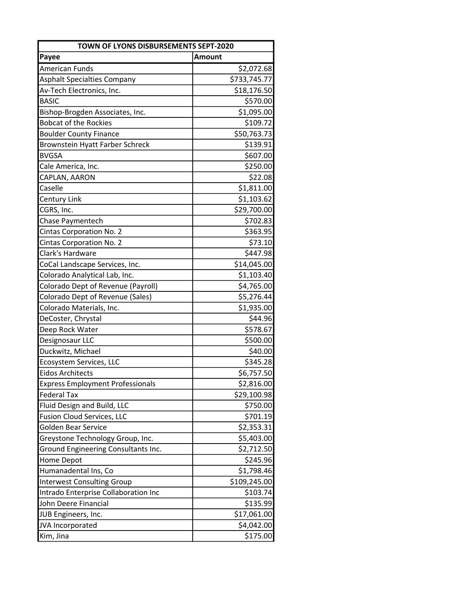| TOWN OF LYONS DISBURSEMENTS SEPT-2020      |              |
|--------------------------------------------|--------------|
| Payee                                      | Amount       |
| American Funds                             | \$2,072.68   |
| <b>Asphalt Specialties Company</b>         | \$733,745.77 |
| Av-Tech Electronics, Inc.                  | \$18,176.50  |
| <b>BASIC</b>                               | \$570.00     |
| Bishop-Brogden Associates, Inc.            | \$1,095.00   |
| <b>Bobcat of the Rockies</b>               | \$109.72     |
| <b>Boulder County Finance</b>              | \$50,763.73  |
| Brownstein Hyatt Farber Schreck            | \$139.91     |
| <b>BVGSA</b>                               | \$607.00     |
| Cale America, Inc.                         | \$250.00     |
| CAPLAN, AARON                              | \$22.08      |
| Caselle                                    | \$1,811.00   |
| Century Link                               | \$1,103.62   |
| CGRS, Inc.                                 | \$29,700.00  |
| <b>Chase Paymentech</b>                    | \$702.83     |
| Cintas Corporation No. 2                   | \$363.95     |
| Cintas Corporation No. 2                   | \$73.10      |
| Clark's Hardware                           | \$447.98     |
| CoCal Landscape Services, Inc.             | \$14,045.00  |
| Colorado Analytical Lab, Inc.              | \$1,103.40   |
| Colorado Dept of Revenue (Payroll)         | \$4,765.00   |
| Colorado Dept of Revenue (Sales)           | \$5,276.44   |
| Colorado Materials, Inc.                   | \$1,935.00   |
| DeCoster, Chrystal                         | \$44.96      |
| Deep Rock Water                            | \$578.67     |
| Designosaur LLC                            | \$500.00     |
| Duckwitz, Michael                          | \$40.00      |
| Ecosystem Services, LLC                    | \$345.28     |
| <b>Eidos Architects</b>                    | \$6,757.50   |
| <b>Express Employment Professionals</b>    | \$2,816.00   |
| <b>Federal Tax</b>                         | \$29,100.98  |
| Fluid Design and Build, LLC                | \$750.00     |
| <b>Fusion Cloud Services, LLC</b>          | \$701.19     |
| <b>Golden Bear Service</b>                 | \$2,353.31   |
| Greystone Technology Group, Inc.           | \$5,403.00   |
| <b>Ground Engineering Consultants Inc.</b> | \$2,712.50   |
| Home Depot                                 | \$245.96     |
| Humanadental Ins, Co                       | \$1,798.46   |
| <b>Interwest Consulting Group</b>          | \$109,245.00 |
| Intrado Enterprise Collaboration Inc       | \$103.74     |
| John Deere Financial                       | \$135.99     |
| JUB Engineers, Inc.                        | \$17,061.00  |
| JVA Incorporated                           | \$4,042.00   |
| Kim, Jina                                  | \$175.00     |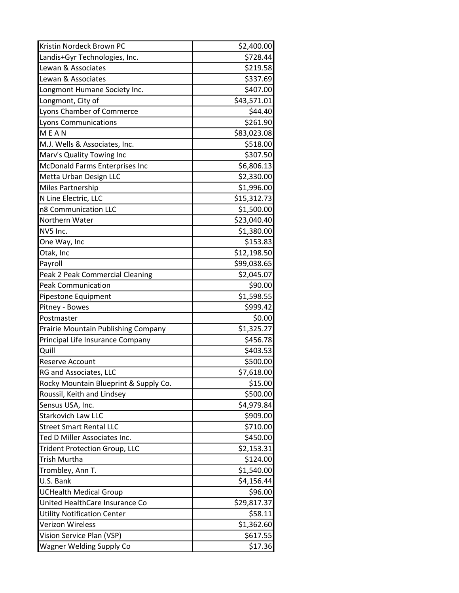| Kristin Nordeck Brown PC              | \$2,400.00  |
|---------------------------------------|-------------|
| Landis+Gyr Technologies, Inc.         | \$728.44    |
| Lewan & Associates                    | \$219.58    |
| Lewan & Associates                    | \$337.69    |
| Longmont Humane Society Inc.          | \$407.00    |
| Longmont, City of                     | \$43,571.01 |
| <b>Lyons Chamber of Commerce</b>      | \$44.40     |
| <b>Lyons Communications</b>           | \$261.90    |
| <b>MEAN</b>                           | \$83,023.08 |
| M.J. Wells & Associates, Inc.         | \$518.00    |
| Marv's Quality Towing Inc             | \$307.50    |
| McDonald Farms Enterprises Inc        | \$6,806.13  |
| Metta Urban Design LLC                | \$2,330.00  |
| <b>Miles Partnership</b>              | \$1,996.00  |
| N Line Electric, LLC                  | \$15,312.73 |
| n8 Communication LLC                  | \$1,500.00  |
| Northern Water                        | \$23,040.40 |
| NV5 Inc.                              | \$1,380.00  |
| One Way, Inc                          | \$153.83    |
| Otak, Inc                             | \$12,198.50 |
| Payroll                               | \$99,038.65 |
| Peak 2 Peak Commercial Cleaning       | \$2,045.07  |
| <b>Peak Communication</b>             | \$90.00     |
| Pipestone Equipment                   | \$1,598.55  |
| Pitney - Bowes                        | \$999.42    |
| Postmaster                            | \$0.00      |
| Prairie Mountain Publishing Company   | \$1,325.27  |
| Principal Life Insurance Company      | \$456.78    |
| Quill                                 | \$403.53    |
| Reserve Account                       | \$500.00    |
| RG and Associates, LLC                | \$7,618.00  |
| Rocky Mountain Blueprint & Supply Co. | \$15.00     |
| Roussil, Keith and Lindsey            | \$500.00    |
| Sensus USA, Inc.                      | \$4,979.84  |
| <b>Starkovich Law LLC</b>             | \$909.00    |
| <b>Street Smart Rental LLC</b>        | \$710.00    |
| Ted D Miller Associates Inc.          | \$450.00    |
| <b>Trident Protection Group, LLC</b>  | \$2,153.31  |
| Trish Murtha                          | \$124.00    |
| Trombley, Ann T.                      | \$1,540.00  |
| U.S. Bank                             | \$4,156.44  |
| <b>UCHealth Medical Group</b>         | \$96.00     |
| United HealthCare Insurance Co        | \$29,817.37 |
| <b>Utility Notification Center</b>    | \$58.11     |
| Verizon Wireless                      | \$1,362.60  |
| Vision Service Plan (VSP)             | \$617.55    |
| <b>Wagner Welding Supply Co</b>       | \$17.36     |